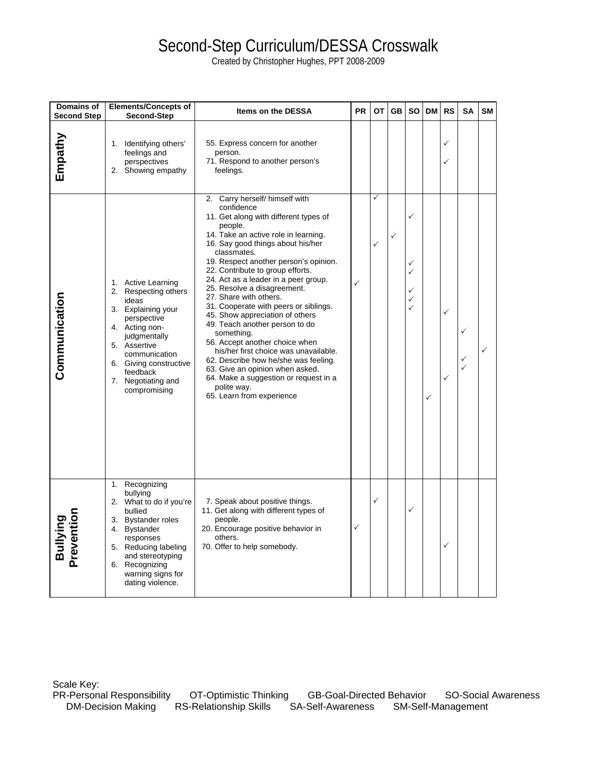# Second-Step Curriculum/DESSA Crosswalk

Created by Christopher Hughes, PPT 2008-2009

| Domains of<br><b>Second Step</b> | <b>Elements/Concepts of</b><br>Second-Step                                                                                                                                                                                              | Items on the DESSA                                                                                                                                                                                                                                                                                                                                                                                                                                                                                                                                                                                                                                                                                                                                | <b>PR</b> | OT                | GB | <b>SO</b>                  | <b>DM</b> | <b>RS</b> | SA | <b>SM</b> |
|----------------------------------|-----------------------------------------------------------------------------------------------------------------------------------------------------------------------------------------------------------------------------------------|---------------------------------------------------------------------------------------------------------------------------------------------------------------------------------------------------------------------------------------------------------------------------------------------------------------------------------------------------------------------------------------------------------------------------------------------------------------------------------------------------------------------------------------------------------------------------------------------------------------------------------------------------------------------------------------------------------------------------------------------------|-----------|-------------------|----|----------------------------|-----------|-----------|----|-----------|
| Empathy                          | Identifying others'<br>1.<br>feelings and<br>perspectives<br>2. Showing empathy                                                                                                                                                         | 55. Express concern for another<br>person.<br>71. Respond to another person's<br>feelings.                                                                                                                                                                                                                                                                                                                                                                                                                                                                                                                                                                                                                                                        |           |                   |    |                            |           | ✓<br>✓    |    |           |
| Communication                    | 1. Active Learning<br>2. Respecting others<br>ideas<br>3. Explaining your<br>perspective<br>4. Acting non-<br>judgmentally<br>5. Assertive<br>communication<br>6. Giving constructive<br>feedback<br>7. Negotiating and<br>compromising | 2. Carry herself/ himself with<br>confidence<br>11. Get along with different types of<br>people.<br>14. Take an active role in learning.<br>16. Say good things about his/her<br>classmates.<br>19. Respect another person's opinion.<br>22. Contribute to group efforts.<br>24. Act as a leader in a peer group.<br>25. Resolve a disagreement.<br>27. Share with others.<br>31. Cooperate with peers or siblings.<br>45. Show appreciation of others<br>49. Teach another person to do<br>something.<br>56. Accept another choice when<br>his/her first choice was unavailable.<br>62. Describe how he/she was feeling.<br>63. Give an opinion when asked.<br>64. Make a suggestion or request in a<br>polite way.<br>65. Learn from experience | ✓         | ✓<br>$\checkmark$ | ✓  | ✓<br>✓<br>✓<br>✓<br>✓<br>✓ | ✓         | ✓<br>✓    |    |           |
| <b>Bullying</b><br>Prevention    | Recognizing<br>1.<br>bullying<br>2. What to do if you're<br>bullied<br>3. Bystander roles<br>4. Bystander<br>responses<br>5. Reducing labeling<br>and stereotyping<br>6. Recognizing<br>warning signs for<br>dating violence.           | 7. Speak about positive things.<br>11. Get along with different types of<br>people.<br>20. Encourage positive behavior in<br>others.<br>70. Offer to help somebody.                                                                                                                                                                                                                                                                                                                                                                                                                                                                                                                                                                               | ✓         | $\checkmark$      |    | ✓                          |           | ✓         |    |           |

Scale Key:<br>PR-Personal Responsibility l-Personal Responsibility OT-Optimistic Thinking GB-Goal-Directed Behavior SO-Social Awareness<br>DM-Decision Making RS-Relationship Skills SA-Self-Awareness SM-Self-Management RS-Relationship Skills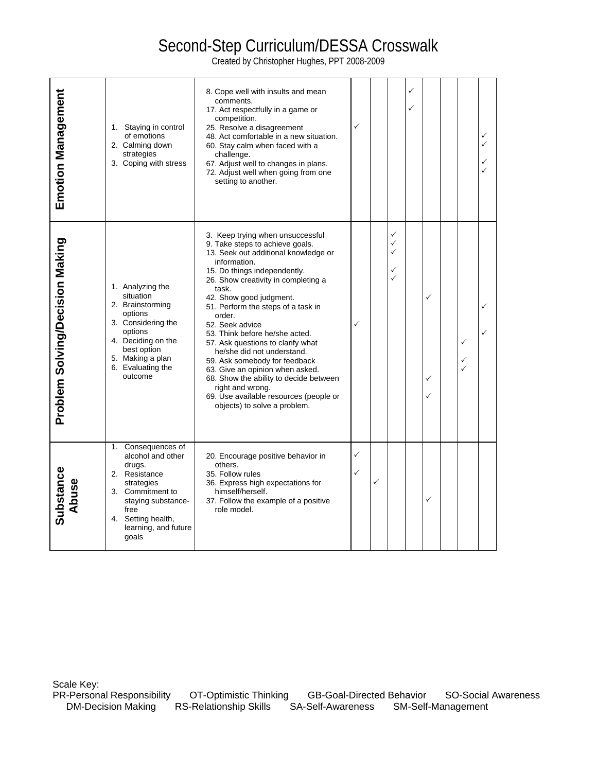# Second-Step Curriculum/DESSA Crosswalk

Created by Christopher Hughes, PPT 2008-2009

| <b>Emotion Management</b>       | 1. Staying in control<br>of emotions<br>2. Calming down<br>strategies<br>3. Coping with stress                                                                                               | 8. Cope well with insults and mean<br>comments.<br>17. Act respectfully in a game or<br>competition.<br>25. Resolve a disagreement<br>48. Act comfortable in a new situation.<br>60. Stay calm when faced with a<br>challenge.<br>67. Adjust well to changes in plans.<br>72. Adjust well when going from one<br>setting to another.                                                                                                                                                                                                                                                                                       | ✓      |              |                                                        | ✓<br>✓ |             |                                   | ✓ |
|---------------------------------|----------------------------------------------------------------------------------------------------------------------------------------------------------------------------------------------|----------------------------------------------------------------------------------------------------------------------------------------------------------------------------------------------------------------------------------------------------------------------------------------------------------------------------------------------------------------------------------------------------------------------------------------------------------------------------------------------------------------------------------------------------------------------------------------------------------------------------|--------|--------------|--------------------------------------------------------|--------|-------------|-----------------------------------|---|
| Problem Solving/Decision Making | 1. Analyzing the<br>situation<br>2. Brainstorming<br>options<br>3. Considering the<br>options<br>4. Deciding on the<br>best option<br>5. Making a plan<br>6. Evaluating the<br>outcome       | 3. Keep trying when unsuccessful<br>9. Take steps to achieve goals.<br>13. Seek out additional knowledge or<br>information.<br>15. Do things independently.<br>26. Show creativity in completing a<br>task.<br>42. Show good judgment.<br>51. Perform the steps of a task in<br>order.<br>52. Seek advice<br>53. Think before he/she acted.<br>57. Ask questions to clarify what<br>he/she did not understand.<br>59. Ask somebody for feedback<br>63. Give an opinion when asked.<br>68. Show the ability to decide between<br>right and wrong.<br>69. Use available resources (people or<br>objects) to solve a problem. | ✓      |              | ✓<br>$\checkmark$<br>$\checkmark$<br>✓<br>$\checkmark$ |        | ✓<br>✓<br>✓ | ✓<br>✓<br>✓                       |   |
| ubstance<br>Abuse<br>ທ          | Consequences of<br>1.<br>alcohol and other<br>drugs.<br>2. Resistance<br>strategies<br>3. Commitment to<br>staying substance-<br>free<br>4. Setting health,<br>learning, and future<br>goals | 20. Encourage positive behavior in<br>others.<br>35. Follow rules<br>36. Express high expectations for<br>himself/herself.<br>37. Follow the example of a positive<br>role model.                                                                                                                                                                                                                                                                                                                                                                                                                                          | ✓<br>✓ | $\checkmark$ |                                                        |        | ✓           |                                   |   |
| Scale Key:                      | PR-Personal Responsibility<br><b>DM-Decision Making</b>                                                                                                                                      | OT-Optimistic Thinking<br><b>GB-Goal-Directed Behavior</b><br><b>RS-Relationship Skills</b><br><b>SA-Self-Awareness</b>                                                                                                                                                                                                                                                                                                                                                                                                                                                                                                    |        |              |                                                        |        |             | SO-Social /<br>SM-Self-Management |   |

PR-Personal Responsibility OT-Optimistic Thinking GB-Goal-Directed Behavior SO-Social Awareness<br>DM-Decision Making RS-Relationship Skills SA-Self-Awareness SM-Self-Management SA-Self-Awareness SM-Self-Management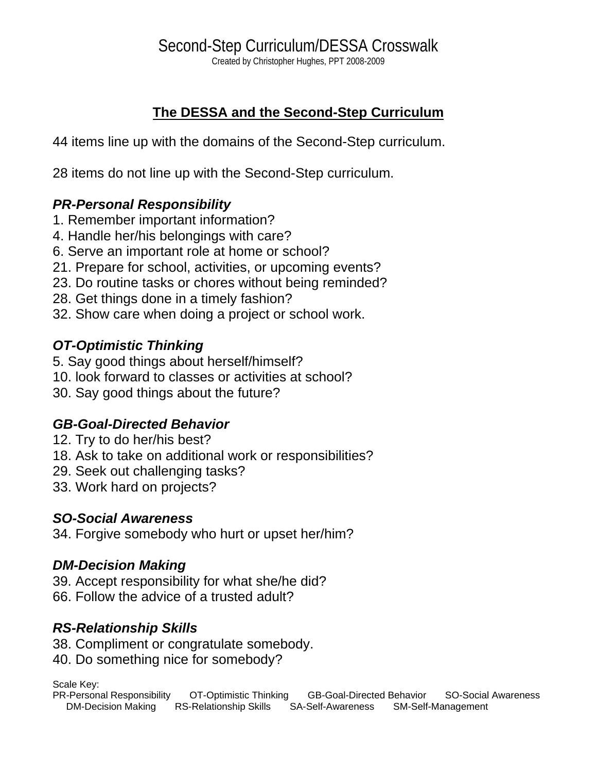# **The DESSA and the Second-Step Curriculum**

44 items line up with the domains of the Second-Step curriculum.

28 items do not line up with the Second-Step curriculum.

# *PR-Personal Responsibility*

- 1. Remember important information?
- 4. Handle her/his belongings with care?
- 6. Serve an important role at home or school?
- 21. Prepare for school, activities, or upcoming events?
- 23. Do routine tasks or chores without being reminded?
- 28. Get things done in a timely fashion?
- 32. Show care when doing a project or school work.

# *OT-Optimistic Thinking*

- 5. Say good things about herself/himself?
- 10. look forward to classes or activities at school?
- 30. Say good things about the future?

# *GB-Goal-Directed Behavior*

- 12. Try to do her/his best?
- 18. Ask to take on additional work or responsibilities?
- 29. Seek out challenging tasks?
- 33. Work hard on projects?

### *SO-Social Awareness*

34. Forgive somebody who hurt or upset her/him?

### *DM-Decision Making*

- 39. Accept responsibility for what she/he did?
- 66. Follow the advice of a trusted adult?

# *RS-Relationship Skills*

- 38. Compliment or congratulate somebody.
- 40. Do something nice for somebody?

Scale Key:

PR-Personal Responsibility OT-Optimistic Thinking GB-Goal-Directed Behavior SO-Social Awareness DM-Decision Making RS-Relationship Skills SA-Self-Awareness SM-Self-Management